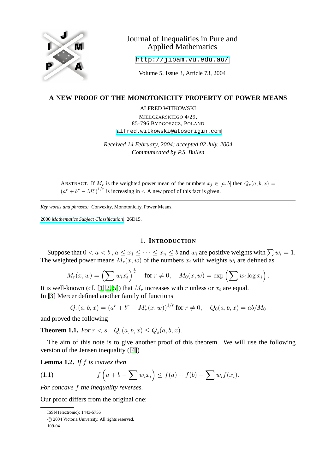

# Journal of Inequalities in Pure and Applied Mathematics

<http://jipam.vu.edu.au/>

Volume 5, Issue 3, Article 73, 2004

## **A NEW PROOF OF THE MONOTONICITY PROPERTY OF POWER MEANS**

ALFRED WITKOWSKI

MIELCZARSKIEGO 4/29, 85-796 BYDGOSZCZ, POLAND [alfred.witkowski@atosorigin.com](mailto:alfred.witkowski@atosorigin.com)

*Received 14 February, 2004; accepted 02 July, 2004 Communicated by P.S. Bullen*

ABSTRACT. If  $M_r$  is the weighted power mean of the numbers  $x_j \in [a, b]$  then  $Q_r(a, b, x) =$  $(a<sup>r</sup> + b<sup>r</sup> - M<sup>r</sup><sub>r</sub>)<sup>1/r</sup>$  is increasing in r. A new proof of this fact is given.

*Key words and phrases:* Convexity, Monotonicity, Power Means.

2000 *[Mathematics Subject Classification.](http://www.ams.org/msc/)* 26D15.

#### 1. **INTRODUCTION**

Suppose that  $0 < a < b$ ,  $a \le x_1 \le \cdots \le x_n \le b$  and  $w_i$  are positive weights with  $\sum w_i = 1$ . The weighted power means  $M_r(x, w)$  of the numbers  $x_i$  with weights  $w_i$  are defined as

$$
M_r(x, w) = \left(\sum w_i x_i^r\right)^{\frac{1}{r}} \quad \text{for } r \neq 0, \quad M_0(x, w) = \exp\left(\sum w_i \log x_i\right).
$$

It is well-known (cf. [\[1,](#page-1-0) [2,](#page-1-1) [5\]](#page-1-2)) that  $M_r$  increases with r unless or  $x_i$  are equal. In [\[3\]](#page-1-3) Mercer defined another family of functions

<span id="page-0-1"></span>
$$
Q_r(a, b, x) = (a^r + b^r - M_r^r(x, w))^{1/r}
$$
 for  $r \neq 0$ ,  $Q_0(a, b, x) = ab/M_0$ 

and proved the following

<span id="page-0-0"></span>**Theorem 1.1.** *For*  $r < s$  *Q<sub>r</sub>* $(a, b, x) < Q_s(a, b, x)$ *.* 

The aim of this note is to give another proof of this theorem. We will use the following version of the Jensen inequality ([\[4\]](#page-1-4))

**Lemma 1.2.** *If* f *is convex then*

(1.1) 
$$
f\left(a+b-\sum w_i x_i\right) \le f(a) + f(b) - \sum w_i f(x_i).
$$

*For concave* f *the inequality reverses.*

Our proof differs from the original one:

ISSN (electronic): 1443-5756

c 2004 Victoria University. All rights reserved.

<sup>109-04</sup>